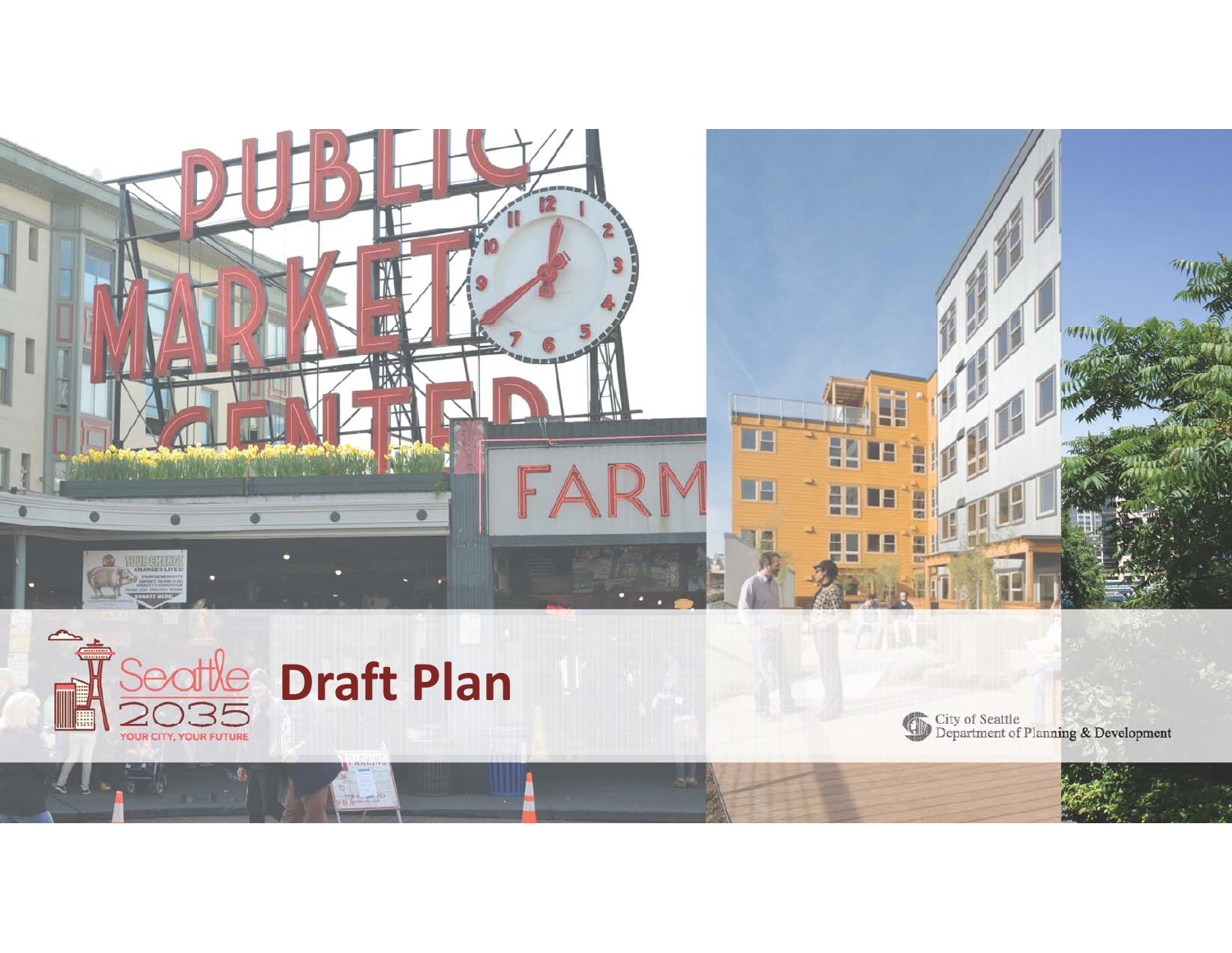



City of Seattle<br>Department of Planning & Development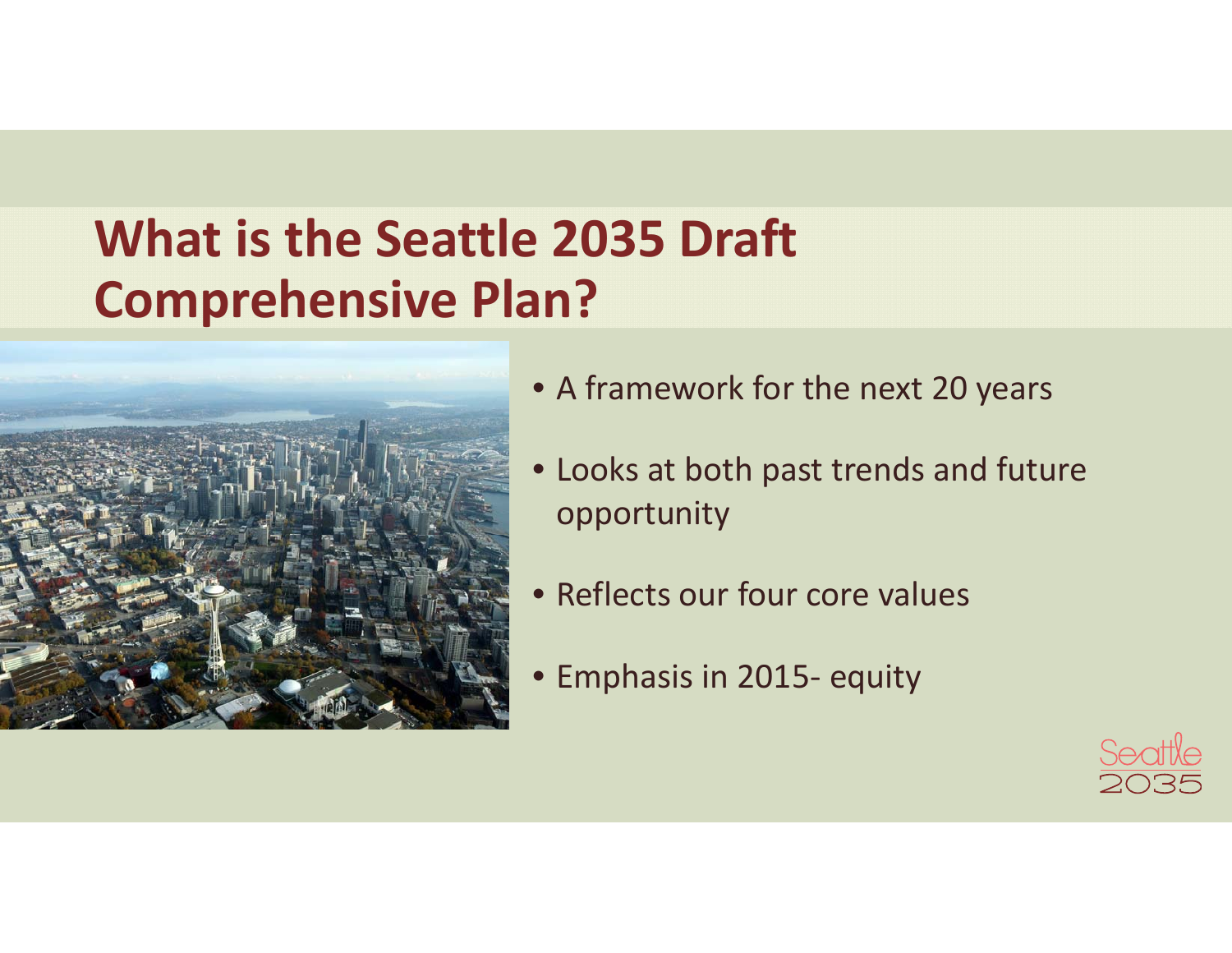# **What is the Seattle 2035 Draft Comprehensive Plan?**



- A framework for the next 20 years
- Looks at both past trends and future opportunity
- Reflects our four core values
- Emphasis in 2015‐ equity

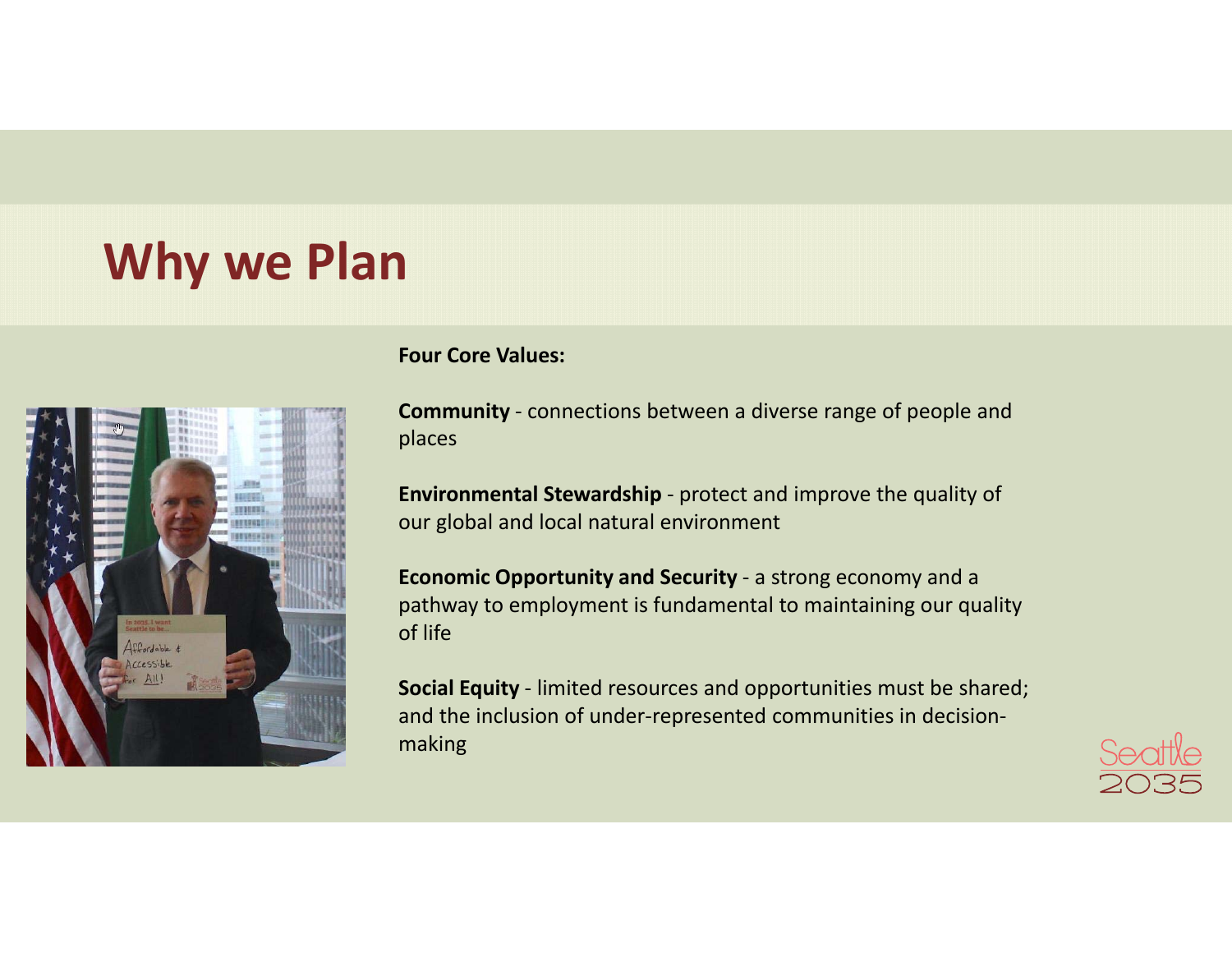### **Why we Plan**



#### **Four Core Values:**

**Community** ‐ connections between <sup>a</sup> diverse range of people and places

**Environmental Stewardship** ‐ protect and improve the quality of our global and local natural environment

**Economic Opportunity and Security** ‐ <sup>a</sup> strong economy and <sup>a</sup> pathway to employment is fundamental to maintaining our quality of life

**Social Equity** ‐ limited resources and opportunities must be shared; and the inclusion of under‐represented communities in decision‐ making

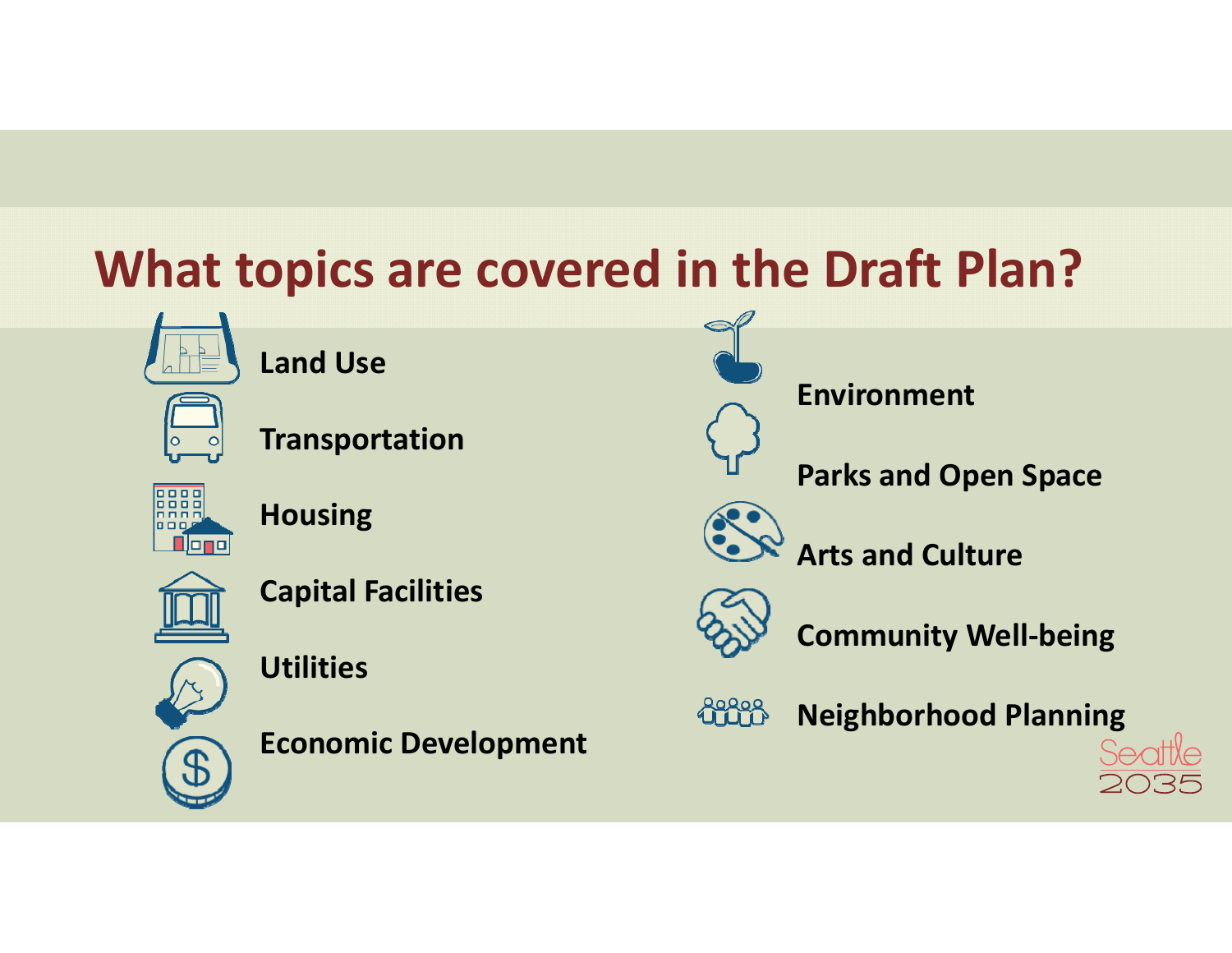# **What topics are covered in the Draft Plan?**

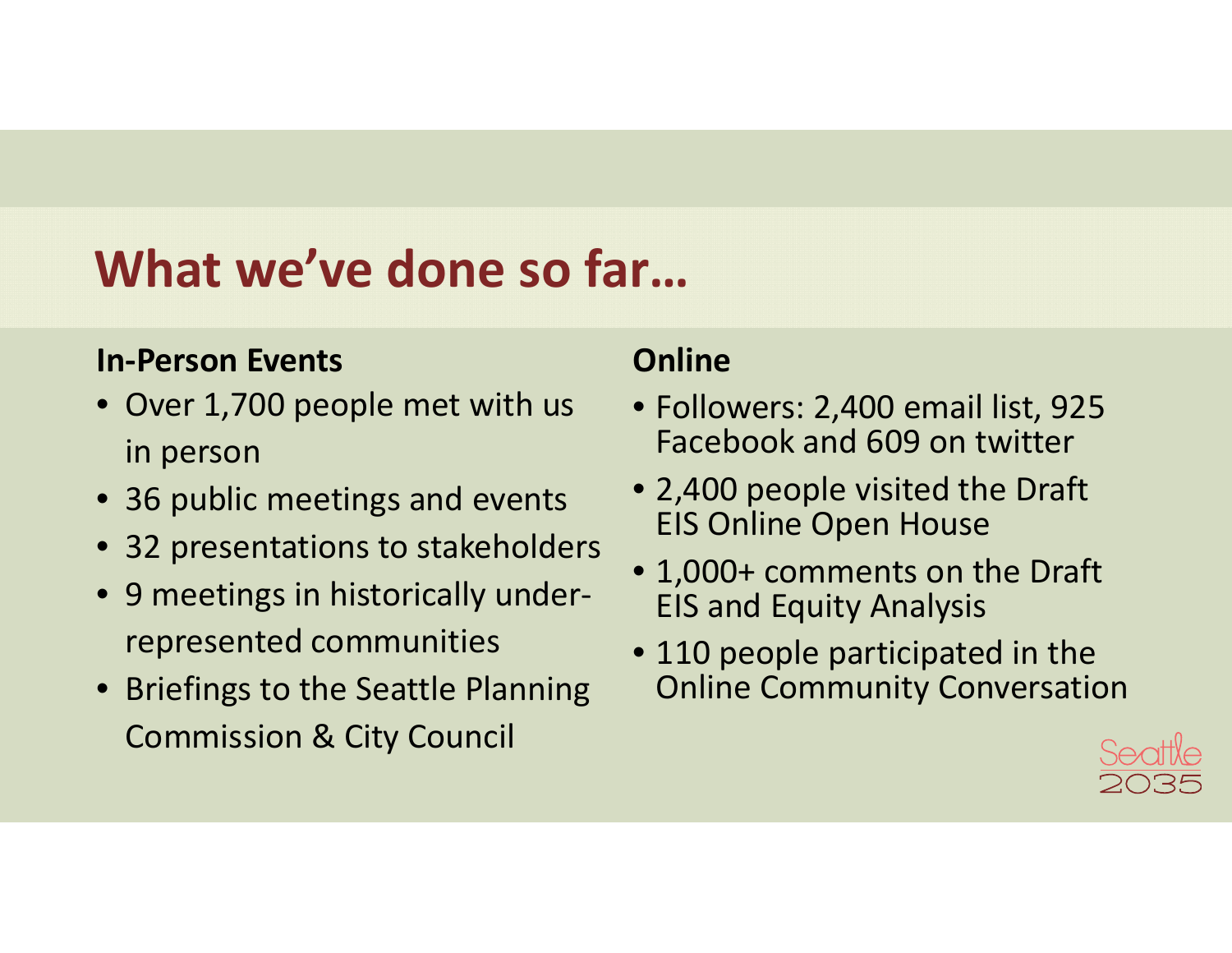## **What we've done so far…**

### **In‐Person Events**

- Over 1,700 people met with us in person
- 36 public meetings and events
- 32 presentations to stakeholders
- 9 meetings in historically underrepresented communities
- Briefings to the Seattle Planning Commission & City Council

### **Online**

- Followers: 2,400 email list, 925 Facebook and 609 on twitter
- 2,400 people visited the Draft EIS Online Open House
- 1,000+ comments on the Draft EIS and Equity Analysis
- 110 people participated in the Online Community Conversation

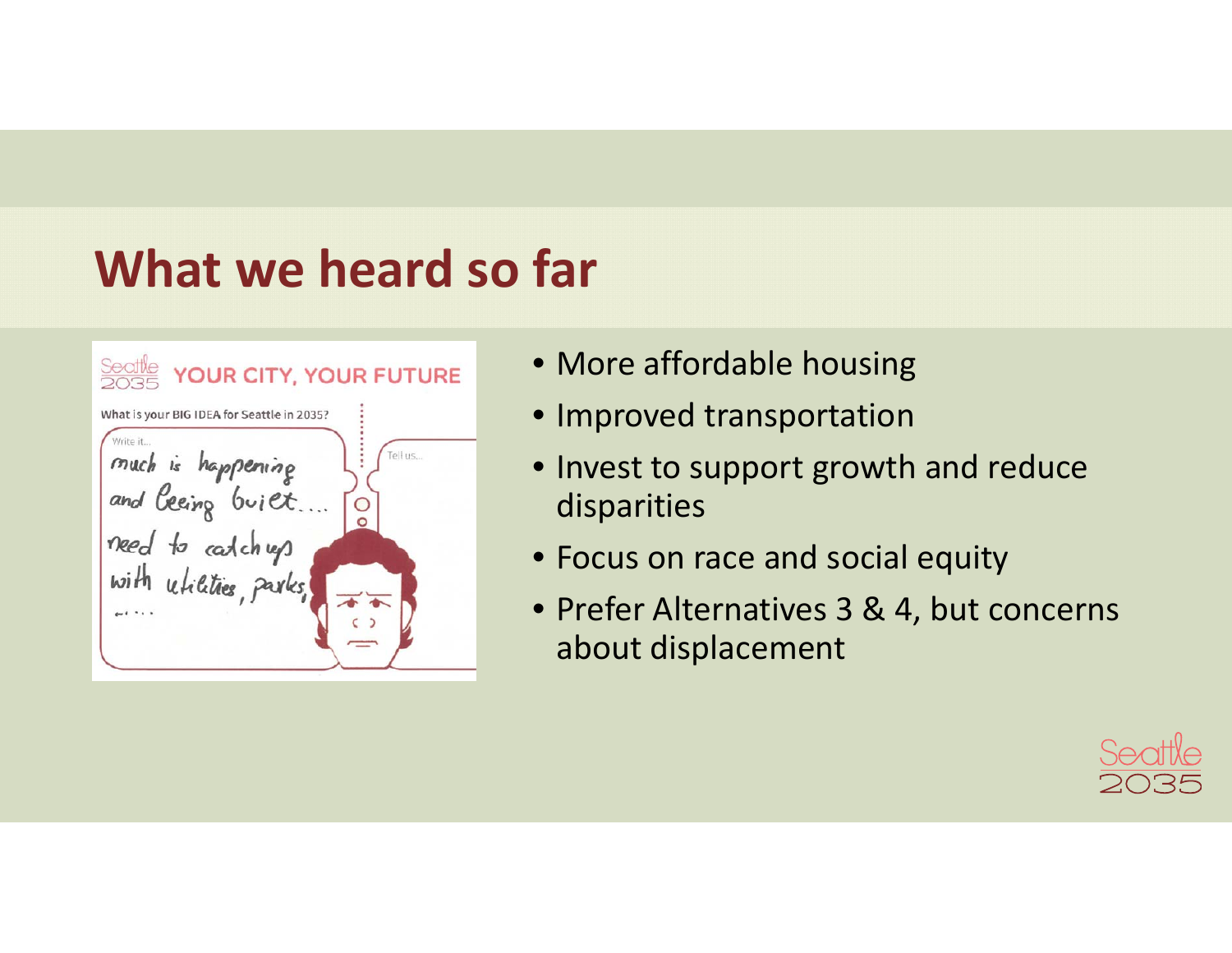# **What we heard so far**

| YOUR CITY, YOUR FUTURE                                     |
|------------------------------------------------------------|
| What is your BIG IDEA for Seattle in 2035?                 |
| Write it<br>ell us<br>much is happening<br>and being buiet |
| need to catchup<br>with <i>utilities</i> , parks,          |
|                                                            |

- More affordable housing
- Improved transportation
- Invest to support growth and reduce disparities
- Focus on race and social equity
- Prefer Alternatives 3 & 4, but concerns about displacement

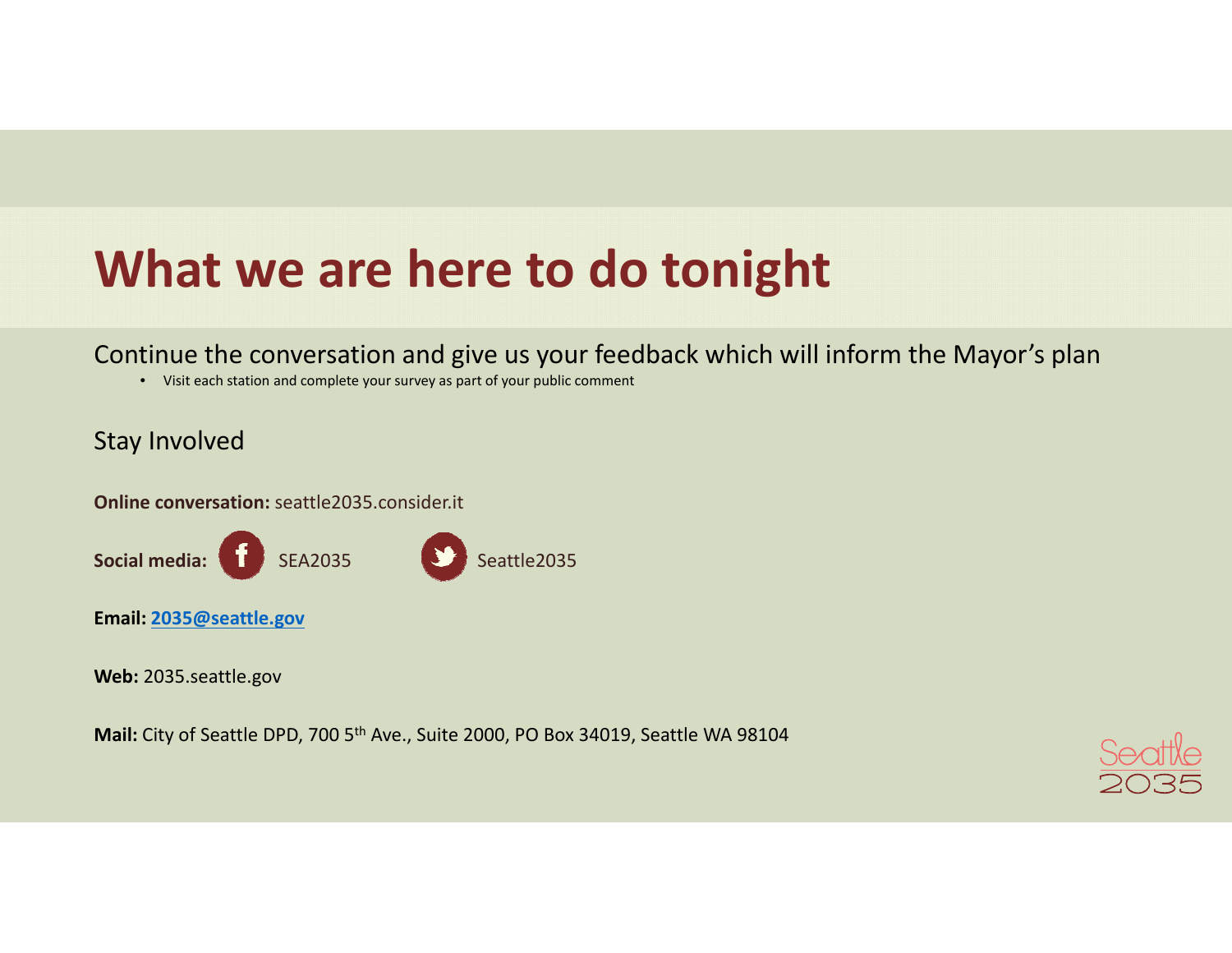## **What we are here to do tonight**

### Continue the conversation and give us your feedback which will inform the Mayor's plan

• Visit each station and complete your survey as part of your public comment

#### Stay Involved

**Online conversation:** seattle2035.consider.it



**Web:** 2035.seattle.gov

**Mail:** City of Seattle DPD, <sup>700</sup> 5th Ave., Suite 2000, PO Box 34019, Seattle WA <sup>98104</sup>